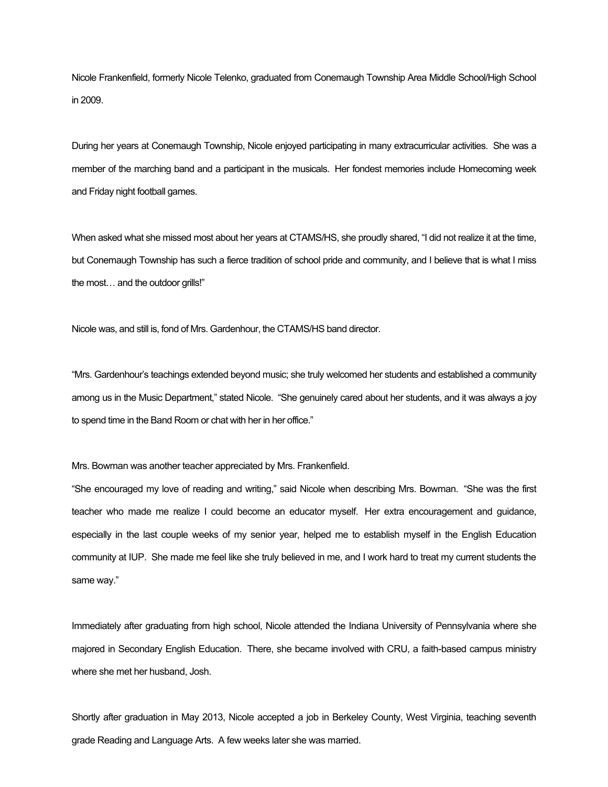Nicole Frankenfield, formerly Nicole Telenko, graduated from Conemaugh Township Area Middle School/High School in 2009.

During her years at Conemaugh Township, Nicole enjoyed participating in many extracurricular activities. She was a member of the marching band and a participant in the musicals. Her fondest memories include Homecoming week and Friday night football games.

When asked what she missed most about her years at CTAMS/HS, she proudly shared, "I did not realize it at the time, but Conemaugh Township has such a fierce tradition of school pride and community, and I believe that is what I miss the most… and the outdoor grills!"

Nicole was, and still is, fond of Mrs. Gardenhour, the CTAMS/HS band director.

"Mrs. Gardenhour's teachings extended beyond music; she truly welcomed her students and established a community among us in the Music Department," stated Nicole. "She genuinely cared about her students, and it was always a joy to spend time in the Band Room or chat with her in her office."

Mrs. Bowman was another teacher appreciated by Mrs. Frankenfield.

"She encouraged my love of reading and writing," said Nicole when describing Mrs. Bowman. "She was the first teacher who made me realize I could become an educator myself. Her extra encouragement and guidance, especially in the last couple weeks of my senior year, helped me to establish myself in the English Education community at IUP. She made me feel like she truly believed in me, and I work hard to treat my current students the same way."

Immediately after graduating from high school, Nicole attended the Indiana University of Pennsylvania where she majored in Secondary English Education. There, she became involved with CRU, a faith-based campus ministry where she met her husband, Josh.

Shortly after graduation in May 2013, Nicole accepted a job in Berkeley County, West Virginia, teaching seventh grade Reading and Language Arts. A few weeks later she was married.